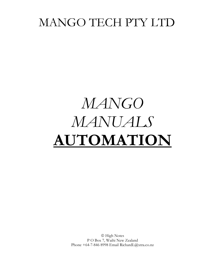## MANGO TECH PTY LTD

# **MANGO** MANUALS AUTOMATION

© High Notes P O Box 7, Waihi New Zealand Phone +64-7-846 8998 Email RichardL@xtra.co.nz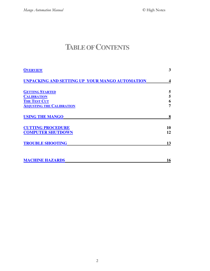### **TABLEOFCONTENTS**

| <b>OVERVIEW</b>                                | 3  |
|------------------------------------------------|----|
| UNPACKING AND SETTING UP YOUR MANGO AUTOMATION | 4  |
| <b>GETTING STARTED</b>                         | 5  |
| <b>CALIBRATION</b>                             | 5  |
| <b>THE TEST CUT</b>                            | 6  |
| <b>ADJUSTING THE CALIBRATION</b>               | 7  |
| <b>USING THE MANGO</b>                         | 8  |
| <b>CUTTING PROCEDURE</b>                       | 10 |
| <b>COMPUTER SHUTDOWN</b>                       | 12 |
| <b>TROUBLE SHOOTING</b>                        | 13 |
| <b>MACHINE HAZARDS</b>                         | 16 |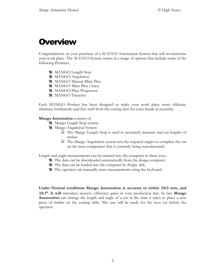### **Overview**

Congratulations on your purchase of a MANGO Automation System that will revolutionise your work place. The MANGO System comes in a range of options that include some of the following Products.

- **※** MANGO Length Stop
- **※** MANGO Angulation
- **X** MANGO Manual Mitre Pins
- **※** MANGO Mitre Pins (Auto)
- **※** MANGO Plate Progressor
- **※** MANGO Trencher

Each MANGO Product has been designed to make your work place more efficient, eliminate bottlenecks and free staff from the cutting face for extra hands at assembly.

#### Mango Automation consists of

- **※** Mango Length Stop system
- **※** Mango Angulation System
	- $\Box$  The Mango Length Stop is used to accurately measure and cut lengths of timber
	- $\Box$  The Mango Angulation system sets the required angles to complete the cut on the truss component that is currently being manufactured.

Length and angle measurements can be entered into the computer in three ways.

- $\hat{\mathbf{x}}$  The data can be downloaded automatically from the design computer
- $\hat{\mathbf{\mathsf{X}}}$  The data can be loaded into the computer by floppy disk.
- **<sup><del></del>**⁄</sup> The operator can manually enter measurements using the keyboard.

Under Normal conditions Mango Automation is accurate to within  $\pm 0.5$  mm, and ±0.1°. It will introduce massive efficiency gains in your production line. In fact Mango **Automation** can change the length and angle of a cut in the time it takes to place a new piece of timber on the cutting table. The saw will be ready for the next cut before the operator.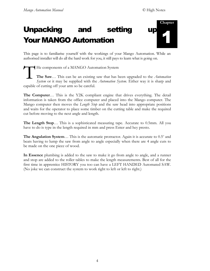### **Unpacking setting** and **Your MANGO Automation**



This page is to familiarise yourself with the workings of your Mango Automation. While an authorised installer will do all the hard work for you, it still pays to learn what is going on.

He components of a MANGO Automation System The Saw... This can be an existing saw that has been upgraded to the Automation System or it may be supplied with the Automation System. Either way it is sharp and capable of cutting off your arm so be careful.

**The Computer...** This is the Y2K compliant engine that drives everything. The detail information is taken from the office computer and placed into the Mango computer. The Mango computer then moves the *Length Stop* and the saw head into appropriate positions and waits for the operator to place some timber on the cutting table and make the required cut before moving to the next angle and length.

**The Length Stop...** This is a sophisticated measuring tape. Accurate to 0.5mm. All you have to do is type in the length required in mm and press Enter and hey presto.

**The Angulation System...** This is the automatic protractor. Again it is accurate to 0.5° and beats having to lump the saw from angle to angle especially when there are 4 angle cuts to be made on the one piece of wood.

In Essence plumbing is added to the saw to make it go from angle to angle, and a runner and stop are added to the roller tables to make the length measurements. Best of all for the first time in apprentice HISTORY you too can have a LEFT HANDED Automated SAW. (No joke we can construct the system to work right to left or left to right.)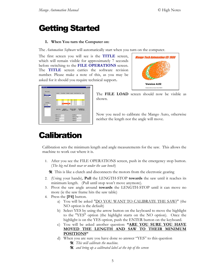### **Getting Started**

#### 1. When You turn the Computer on:

The *Automation Software* will automatically start when you turn on the computer.

The first screen you will see is the TITLE screen, which will remain visible for approximately 7 seconds before switching to the FILE OPERATIONS screen. The **TITLE** screen carries the software revision number. Please make a note of this, as you may be asked for it should you require technical support.



| File Location.<br><b>x</b><br>chiavitles!      | old dol.     | Trues Mark                   |                 | Member Length     | Stock/Grade Otv |                | Son                                         |
|------------------------------------------------|--------------|------------------------------|-----------------|-------------------|-----------------|----------------|---------------------------------------------|
| d \compsew\                                    |              |                              |                 |                   |                 |                |                                             |
|                                                | 5313         | <b>ET01</b>                  | A-B             | 4253              | [4.6] F5        |                | 2.90x45                                     |
|                                                | 5313         | ETOT                         | DC.             | 3900              | (4.2) F5        | ÷              | 90x45                                       |
| <b>Joh Name</b>                                | 5313         | ET01                         | Diê             | 3822              | [411F5]         | $\blacksquare$ | $90 \times 45$                              |
|                                                | 5313         | FTM                          | <b>STE</b>      | 1991              | (2.2) F5        | $\mathbf{1}$   | $70 \times 45$                              |
| Pipethay<br>Placemakers, TC<br>Placemakers has | 5313         | ET01                         | ST <sub>1</sub> | 1671              | (1.91F5         | $\overline{2}$ | $70 \times 45$                              |
| PlacemakersV21                                 | EXIT (F1)    | MODIFY<br><b>MEMBER (F2)</b> |                 | <b>SELECT NEW</b> | <b>JOB (F3)</b> |                | <b>CALIBRATE &amp;</b><br><b>SETUP (F4)</b> |
|                                                | Length 4253  |                              |                 |                   | Quantity 2      |                |                                             |
|                                                | Angle 1 29.5 |                              |                 |                   | Angle 3 1195    |                |                                             |
|                                                |              |                              |                 |                   |                 |                |                                             |
|                                                | Angle 2 0    |                              |                 |                   | Angle 4         |                |                                             |
|                                                | Diffset 1 0  |                              |                 |                   | Offret 3 [n]    |                |                                             |

The FILE LOAD screen should now be visible as shown.

Now you need to calibrate the Mango Auto, otherwise neither the length nor the angle will move.

### **Calibration**

Calibration sets the minimum length and angle measurements for the saw. This allows the machine to work out where it is.

1. After you see the FILE OPERATIONS screen, push in the emergency stop button. (The big red knob near or under the saw bench)

 $\hat{\mathbf{x}}$  This is like a clutch and disconnects the motors from the electronic gearing

- 2. (Using your hands), **Pull** the LENGTH-STOP **towards** the saw until it reaches its minimum length. (Pull until stop won't move anymore).
- 3. Pivot the saw angle around **towards** the LENGTH-STOP until it can move no more (ie the saw frame hits the saw table)
- 4. Press the [F4] button.
	- a) You will be asked "DO YOU WANT TO CALIBRATE THE SAW?" (the NO option is the default)
	- b) Select YES by using the arrow button on the keyboard to move the highlight to the "YES" option (the highlight starts on the NO option). Once the highlight is on the YES option, push the ENTER button on the keyboard.
	- c) You will be asked another question: "ARE YOU SURE YOU HAVE MOVED THE LENGTH AND SAW TO THEIR MINIMUM **POSITIONS"**
	- d) When you are sure you have done so answer "YES" to this question
		- \* This will calibrate the machine.
		- $\hat{\mathbf{x}}$  and bring up a calibrated label at the top of the screen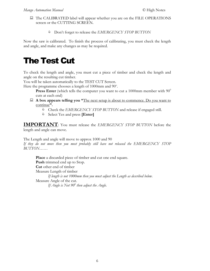- $\Box$  The CALIBRATED label will appear whether you are on the FILE OPERATIONS screen or the CUTTING SCREEN.
	- **Don't forget to release the EMERGENCY STOP BUTTON**

Now the saw is calibrated. To finish the process of calibrating, you must check the length and angle, and make any changes as may be required.

### **The Test Cut**

To check the length and angle, you must cut a piece of timber and check the length and angle on the resulting cut timber.

You will be taken automatically to the TEST CUT Screen.

Here the programme chooses a length of 1000mm and 90°.

**Press Enter** (which tells the computer you want to cut a 1000mm member with  $90^\circ$ cuts at each end)

- $\Box$  A box appears telling you "The next setup is about to commence. Do you want to continue".
	- Check the EMERGENCY STOP BUTTON and release if engaged still.
	- $\bullet$  Select Yes and press [Enter]

**IMPORTANT:** You must release the EMERGENCY STOP BUTTON before the length and angle can move.

The Length and angle will move to approx 1000 and 90

If they do not move then you most probably still have not released the EMERGENCY STOP  $BUTTON$ ......

Place a discarded piece of timber and cut one end square. **Push** trimmed end up to Stop. **Cut** other end of timber Measure Length of timber If length is not 1000mm then you must adjust the Length as described below. Measure Angle of the cut. If Angle is Not  $90^{\circ}$  then adjust the Angle.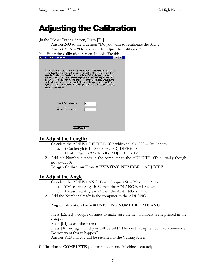### **Adjusting the Calibration**

(in the File or Cutting Screen) Press [F4]

Answer **NO** to the Question "Do you want to recalibrate the Saw". Answer YES to "Do you want to Adjust the Calibration"

| You Enter the Calibration Screen. It looks like this: |  |
|-------------------------------------------------------|--|

| <b>G.</b> Calibration Adjustment                                                                                                                                                                                                                                                                                                                                                                                                                                                                                                                                                                                       |                                      |
|------------------------------------------------------------------------------------------------------------------------------------------------------------------------------------------------------------------------------------------------------------------------------------------------------------------------------------------------------------------------------------------------------------------------------------------------------------------------------------------------------------------------------------------------------------------------------------------------------------------------|--------------------------------------|
| You can adjust the calibration without having to reset it. If the length or angle are out<br>of adjustment by some amount, then you can adjust this with the figure below. For<br>example, if the length is 2mm long, enter the figure of -2 into the length calibration<br>error box. This will take 2mm off all the lengths that are calculated by the saw. The<br>logic works in the same way with the angle.<br>length (which would be the case if you had adjusted the length earlier) then then<br>figure you would enter would be the current figure, minus the 2mm error that we used<br>as the example above. | If there was already a figure in the |
| Length Calibration error<br>Angle Calibration error                                                                                                                                                                                                                                                                                                                                                                                                                                                                                                                                                                    | lo<br>Iо                             |
| Abort/Exit (F1)                                                                                                                                                                                                                                                                                                                                                                                                                                                                                                                                                                                                        |                                      |

### <u>To Adjust the Length:</u>

- 1. Calculate the ADJUST DIFFERENCE which equals  $1000 -$  Cut Length.
	- a. If Cut length is  $1008$  then the ADJ DIFF is  $-8$
	- b. If Cut Length is 998 then the ADJ DIFF is  $+2$
- 2. Add the Number already in the computer to the ADJ DIFF. (This usually though not always  $\theta$ )

```
Length Calibration Error = EXISTING NUMBER + ADJ DIFF
```
### **To Adjust the Angle**

- 1. Calculate the ADJUST ANGLE which equals 90 Measured Angle.
	- a. If Measured Angle is 89 then the ADJ ANG is  $+1$  (90-89=1)
	- b. If Measured Angle is 94 then the ADJ ANG is  $-4$  (90-94=-4)
- 2. Add the Number already in the computer to the ADJ ANG.

#### Angle Calibration Error = EXISTING NUMBER + ADJ ANG

Press [Enter] a couple of times to make sure the new numbers are registered in the computer.

Press [F1] to exit the screen

Press [Enter] again and you will be told "The next set-up is about to commence. Do you want this to happen"

Answer YES and you will be returned to the Cutting Screen.

Calibration is COMPLETE you can now operate Machine accurately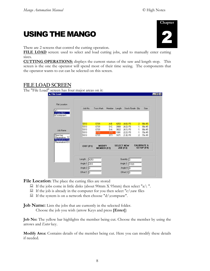$F_X$ 

### **USING THE MANGO**

There are 2 screens that control the cutting operation.

FILE LOAD screen: used to select and load cutting jobs, and to manually enter cutting sizes.

**CUTTING OPERATIONS:** displays the current status of the saw and length stop. This screen is the one the operator will spend most of their time seeing. The components that the operator wants to cut can be selected on this screen.

### **FILE LOAD SCREEN**

The "File Load" screen has four major areas on it: **S**. File Load

| c:\saw files\<br>d:\compsaw\                    | Job No.          | Truss Mark                          | Member          | Length            | Stock/Grade Qty        |                  | Size                                        |
|-------------------------------------------------|------------------|-------------------------------------|-----------------|-------------------|------------------------|------------------|---------------------------------------------|
|                                                 | 5313             | <b>ET01</b>                         | A-B             | 4253              | $[4.6]$ F5             | $\overline{2}$   | 90x 45                                      |
|                                                 | 5313             | ET01                                | D-C             | 3900              | (4.2) F5               | $\left  \right $ | 90x 45                                      |
| Job Name                                        | 5313             | ET01                                | D-A             | 3822              | (4.1) F5               | $\mathbb{R}$     | 90x 45                                      |
|                                                 | 5313             | ET01                                | ST6             | 1991              | $[2.2]$ F <sub>5</sub> | $\mathbf{1}$     | 70x 45                                      |
| Piper.hay<br>Placemakers, TC<br>Placemakers.hay | 5313             | ET01                                | ST <sub>1</sub> | 1671              | (1.9) F5               | $\overline{2}$   | 70x 45                                      |
| PlacemakersV2 h                                 | <b>EXIT (F1)</b> | <b>MODIFY</b><br><b>MEMBER (F2)</b> |                 | <b>SELECT NEW</b> | <b>JOB</b> (F3)        |                  | <b>CALIBRATE &amp;</b><br><b>SETUP (F4)</b> |
|                                                 | Length<br>4253   |                                     |                 |                   | Quantity 2             |                  |                                             |
|                                                 | Angle 1 29.5     |                                     |                 |                   | Angle 3 119.5          |                  |                                             |
|                                                 |                  |                                     |                 |                   |                        |                  |                                             |

File Location: The place the cutting files are stored

- $\Box$  If the jobs come in little disks (about 90mm X 95mm) then select "a:\".
- $\Box$  If the job is already in the computer for you then select "c:\saw files
- $\Box$  If the system is on a network then choose "d:\compsaw".

**Job Name:** Lists the jobs that are currently in the selected folder. Choose the job you wish (arrow Keys and press [Enter])

**Job No:** The yellow bar highlights the member being cut. Choose the member by using the arrows and *Enter* key.

Modify Area: Contains details of the member being cut. Here you can modify these details if needed.

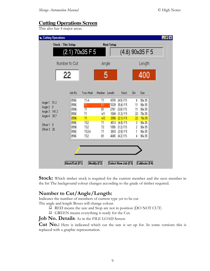### **Cutting Operations Screen**

This also has 4 major areas.

|                                     | <b>Stock: This Setup</b> |                          |                | <b>Next Setup</b> |                      |                |                   |  |
|-------------------------------------|--------------------------|--------------------------|----------------|-------------------|----------------------|----------------|-------------------|--|
|                                     | (2.1) 70x35 F 5          |                          |                |                   |                      |                | $(4.8)$ 90x35 F 5 |  |
|                                     | Number to Cut            |                          | Angle          |                   |                      | Length         |                   |  |
|                                     | 22                       |                          | 5              |                   |                      |                | 400               |  |
|                                     | Job No.                  | Truss Mark               | Member         | Length            | Stock                | Qtv            | Size              |  |
|                                     | 0596                     | T1-A                     | T1             | 4378              | (4.5) F5             | 4              | 90x 35            |  |
| 51.2                                | 0596                     | $^{11}$                  | BT             | 5329              | (5.4) F5             | 11             | 90x 35            |  |
| 0                                   | 0596                     | T1                       | <b>B1</b>      | 2761              | (3.0) F5             | 11             | 90x 35            |  |
|                                     | 0596                     | T1                       | W1             | 1004              | (1.2) F5             | 22             | 70x 35            |  |
|                                     |                          |                          |                |                   |                      |                |                   |  |
|                                     | 0596                     | T1                       | W <sup>2</sup> | 2056              | [21] F5              | 22             | 70x 35            |  |
|                                     | 0596                     | TS <sub>2</sub>          | T1             | 4513              | (4.8) F5             | 3              | 90x 35            |  |
|                                     | 0596                     | TS <sub>2</sub>          | T <sub>2</sub> | 1050              | [1.2] F5             | $\overline{c}$ | 90x 35            |  |
| 141.2<br>28,7<br>$\mathbf{0}$<br>26 | 0596<br>0596             | TS2-A<br>TS <sub>2</sub> | T1<br>B1       | 3810<br>4045      | [3.9] F5<br>[4.2] F5 | Ï              | 90x 35<br>90x 35  |  |

**Stock:** Which timber stock is required for the current member and the next member in the list The background colour changes according to the grade of timber required.

### Number to Cut/Angle/Length:

Indicates the number of members of current type yet to be cut The angle and length Boxes will change colour.

- RED means the saw and Stop are not in position (DO NOT CUT)
- GREEN means everything is ready for the Cut.

#### Job No. Details: As in the FILE LOAD Screen

Cut No.: Here is indicated which cut the saw is set up for. In some versions this is replaced with a graphic representation.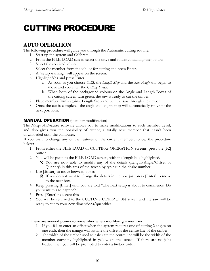### **CUTTING PROCEDURE**

### **AUTO OPERATION**

The following procedure will guide you through the Automatic cutting routine:

- 1. Start up the system and Calibrate
- 2. From the FILE LOAD screen select the drive and folder containing the job lots
- 3. Select the required job lot
- 4. Select the member from the job lot for cutting and press Enter.
- 5. A "setup warning" will appear on the screen.
- 6. Highlight Yes and press Enter.
	- a. As soon as you choose YES, the Length Stop and the Saw Angle will begin to move and you enter the Cutting Screen.
	- b. When both of the background colours on the Angle and Length Boxes of the cutting screen turn green, the saw is ready to cut the timber.
- 7. Place member firmly against Length Stop and pull the saw through the timber.
- 8. Once the cut is completed the angle and length stop will automatically move to the next positions.

#### **MANUAL OPERATION** (member modification)

The Mango Automation software allows you to make modifications to each member detail, and also gives you the possibility of cutting a totally new member that hasn't been downloaded onto the computer.

If you wish to change any of the features of the current member, follow the procedure below:

- 1. From either the FILE LOAD or CUTTING OPERATION screens, press the [F2] button.
- 2. You will be put into the FILE LOAD screen, with the length box highlighted.
	- $\hat{\mathbf{x}}$  You are now able to modify any of the details (Length/Angle/Offset or Quantity) in this area of the screen by typing in the desire number.
- 3. Use [Enter] to move between boxes.
	- $\hat{\mathbf{x}}$  If you do not want to change the details in the box just press [Enter] to move to the next box.
- 4. Keep pressing [Enter] until you are told "The next setup is about to commence. Do you want this to happen?"
- 5. Press [Enter] to accept this
- 6. You will be returned to the CUTTING OPERATION screen and the saw will be ready to cut to your new dimensions/quantities.

#### There are several points to remember when modifying a member:

- 1. If you fail to enter an offset when the system requires one (if cutting 2 angles on one end), then the mango will assume the offset is the centre line of the timber.
- 2. The width of the timber used to calculate the centre line will be the width of the member currently highlighted in yellow on the screen. If there are no jobs loaded, then you will be prompted to enter a timber width.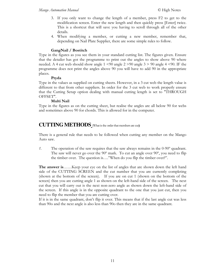- 3. If you only want to change the length of a member, press F2 to get to the modification screen. Enter the new length and then quickly press [Enter] twice. This is a shortcut that will save you having to scroll through all of the other details.
- 4. When modifying a member, or cutting a new member, remember that, depending on Nail Plate Supplier, there are some simple rules to follow.

#### GangNail / Bostitch

Type in the figures as you see them in your standard cutting list. The figures given. Ensure that the detailer has got the programme to print out the angles to show above 90 where needed. A 4 cut web should show angle  $1 \le 90$  angle  $2 \ge 90$  angle  $3 \ge 90$  angle  $4 \le 90$ . IF the programme does not print the angles above 90 you will have to add 90 in the appropriate places.

#### Pryda

Type in the values as supplied on cutting sheets. However, in a 3 cut web the length value is different to that from other suppliers. In order for the 3 cut web to work properly ensure that the Cutting Setup option dealing with manual cutting length is set to "THROUGH OFFSET".

#### Multi Nail

Type in the figures as on the cutting sheet, but realise the angles are all below 90 for webs and sometimes above 90 for chords. This is allowed for in the computer.

### **CUTTING METHODS** (What is the order that members are cut)

There is a general rule that needs to be followed when cutting any member on the Mango Auto saw.

 $1.$ The operation of the saw requires that the saw always remains in the  $0-90^{\circ}$  quadrant. The saw will never go over the 90° mark. To cut an angle over 90°, you need to flip the timber over. The question is...."When do you flip the timber over?".

**The answer is......** Keep your eye on the list of angles that are shown down the left hand side of the CUTTING SCREEN and the cut number that you are currently completing (shown at the bottom of the screen). If you are on cut 1 (shown on the bottom of the screen) then you are cutting angle 1 as shown on the left-hand side of the screen. The next cut that you will carry out is the next non-zero angle as shown down the left-hand side of the screen. If this angle is in the opposite quadrant to the one that you just cut, then you need to flip the member that you are cutting over.

If it is in the same quadrant, don't flip it over. This means that if the last angle cut was less than 90o and the next angle is also less than 90o then they are in the same quadrant.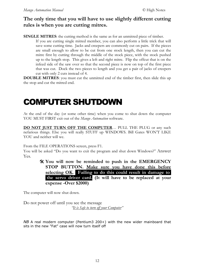### The only time that you will have to use slightly different cutting rules is when you are cutting mitres.

**SINGLE MITRES:** the cutting method is the same as for an unmitted piece of timber.

If you are cutting single mitred member, you can also perform a little trick that will save some cutting time. Jacks and creepers are commonly cut on pairs. If the pieces are small enough to allow to be cut from one stock length, then you can cut the mitre first by cutting through the middle of the stock piece, with the stock pushed up to the length stop. This gives a left and right mitre. Flip the offcut that is on the infeed side of the saw over so that the second piece is now on top of the first piece that was cut. Dock the two pieces to length and you get a pair of jacks of creepers cut with only 2 cuts instead of 4.

**DOUBLE MITRES:** you must cut the unmitred end of the timber first, then slide this up the stop and cut the mitred end.

### **COMPUTER SHUTDOWN**

At the end of the day (or some other time) when you come to shut down the computer YOU MUST FIRST exit out of the Mango Automation software.

**DO NOT JUST TURN OFF THE COMPUTER...** PULL THE PLUG or any such nefarious things. Else you will really STUFF up WINDOWS. Bill Gates WON'T LIKE YOU and neither will we.

From the FILE OPERATIONS screen, press F1.

You will be asked "Do you want to exit the program and shut down Windows?" Answer Yes.

> X You will now be reminded to push in the EMERGENCY STOP BUTTON. Make sure you have done this before selecting OK. Failing to do this could result in damage to the servo driver card. (It will have to be replaced at your expense -Over \$2000)

The computer will now shut down.

Do not power off until you see the message 'It is Safe to turn off your Computer"

NB A real modern computer (Pentium3 200+) with the new wider mainboard that sits in the new "Fat" case will now turn itself off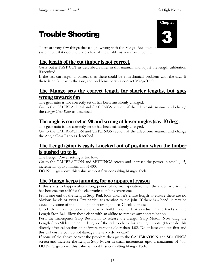### **Trouble Shooting**



There are very few things that can go wrong with the Mango Automation system, but if it does, here are a few of the problems you may encounter

### **The length of the cut timber is not correct.**

Carry out a TEST CUT as described earlier in this manual, and adjust the length calibration if required.

If the test cut length is correct then there could be a mechanical problem with the saw. If there is no fault with the saw, and problems persists contact MangoTech.

### **The Mango sets the correct length for shorter lengths, but goes wrong towards 6m**

The gear ratio is not correctly set or has been mistakenly changed. Go to the CALIBRATION and SETTINGS section of the Electronic manual and change the Length Gear Ratio as described.

### **The angle is correct at 90 and wrong at lower angles(say 10 deg).**

The gear ratio is not correctly set or has been mistakenly changed. Go to the CALIBRATION and SETTINGS section of the Electronic manual and change the Angle Gear Ratio as described.

### **The Length Stop is easily knocked out of position when the timber is pushed up to it.**

The Length Power setting is too low.

Go to the CALIBRATION and SETTINGS screen and increase the power in small (1-5) increments upto a maximum of 400.

DO NOT go above this value without first consulting Mango Tech.

### **The Mango keepsjamming for no apparent reason**

If this starts to happen after a long period of normal operation, then the slider or driveline has become too stiff for the electronic clutch to overcome.

From one end of the Length Stop Rail, look down it's entire length to ensure there are no obvious bends or twists. Pay particular attention to the join. If there is a bend, it may be caused by some of the holding bolts working loose. Check all these.

Check there has not been an excessive build up of dirt or sawdust in the tracks of the Length Stop Rail. Blow these clean with an airline to remove any contamination.

Push the Emergency Stop Button in to release the Length Stop Motor. Now drag the Length Stop Slider the entire length of the rail to check for any tight spots. (Never do this directly after calibration on software versions older than 4.02. Do at least one cut first and this will ensure you do not damage the servo driver card).

If none of the above correct the problem then go to the CALIBRATION and SETTINGS screen and increase the Length Stop Power in small increments upto a maximum of 400. DO NOT go above this value without first consulting Mango Tech.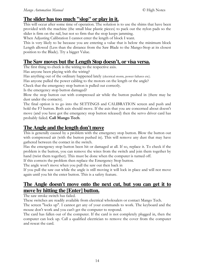### The slider has too much "slop" or play in it.

This will occur after some time of operation. The solution is to use the shims that have been provided with the machine (the small blue plastic pieces) to pack out the nylon pads so the slider is firm on the rail, but not so firm that the stop keeps jamming.

When Adjusting Calibration I cannot enter the length of block I want.

This is very likely to be because you are entering a value that is below the minimum block Length allowed (Less than the distance from the Saw Blade to the Mango-Stop at its closest position to the Blade). Try a bigger Value.

### The Saw moves but the Length Stop doesn't, or visa versa.

The first thing to check is the wiring to the respective axis.

Has anyone been playing with the wiring?

Has anything out of the ordinary happened lately (electrical storm, power failures etc).

Has anyone pulled the power cabling to the motors on the length or the angle?

Check that the emergency stop button is pulled out correctly.

Is the emergency stop button damaged?

Blow the stop button out with compressed air while the button pushed in (there may be dust under the contacts).

The final option is to go into the SETTINGS and CALIBRATION screen and push and hold the F3 button. Both axis should move. If the axis that you are concerned about doesn't move (and you have got the emergency stop button released) then the servo driver card has probably failed. Call Mango Tech.

### The Angle and the length don't move

This is generally caused by a problem with the emergency stop button. Blow the button out with compressed air (with the button pushed in). This will remove any dust that may have gathered between the contact in the switch.

Has the emergency stop button been hit or damaged at all. If so, replace it. To check if the problem is the button, you can remove the wires from the switch and join them together by hand (twist them together). This must be done when the computer is turned off.

If this corrects the problem then replace the Emergency Stop button.

The angle won't move when you pull the saw out then back in

If you pull the saw out while the angle is still moving it will lock in place and will not move again until you hit the enter button. This is a safety feature.

### The Angle doesn't move onto the next cut, but you can get it to move by hitting the [Enter] button.

The saw stroke switch has failed.

These switches are readily available from electrical wholesalers or contact Mango Tech.

The screen "locks up". I cannot get any of your commands to work. The keyboard and the mouse don't work and you can't get the computer to respond.

The card has fallen out of the computer. If the card is not completely plugged in, then the computer can lock up. Call a qualified electrician to remove the cover from the computer and reseat the card.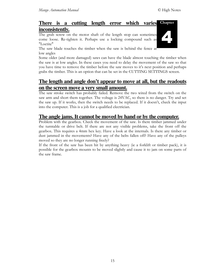#### There is a cutting length error which varies Chapter inconsistently.

The grub screw on the motor shaft of the length stop can sometimes come loose. Re-tighten it. Perhaps use a locking compound such as "Loctite"



The saw blade touches the timber when the saw is behind the fence at low angles

Some older (and more damaged) saws can have the blade almost touching the timber when the saw is at low angles. In these cases you need to delay the movement of the saw so that you have time to remove the timber before the saw moves to it's next position and perhaps grabs the timber. This is an option that can be set in the CUTTING SETTINGS screen.

### The length and angle don't appear to move at all, but the readouts <u>on the screen move a very small amount.</u>

The saw stroke switch has probably failed. Remove the two wired from the switch on the saw arm and short them together. The voltage is 24VAC, so there is no danger. Try and set the saw up. If it works, then the switch needs to be replaced. If it doesn't, check the input into the computer. This is a job for a qualified electrician.

### The angle jams. It cannot be moved by hand or by the computer.

Problem with the gearbox. Check the movement of the saw. Is there timber jammed under the turntable or drive belt. If there are not any visible problems, take the front off the gearbox. This requires a 4mm hex key. Have a look at the internals. Is there any timber or dust jammed in the movements? Have any of the belts fallen off? Have any of the pulleys moved so they are no longer running freely?

If the front of the saw has been hit by anything heavy (ie a forklift or timber pack), it is possible for the gearbox mounts to be moved slightly and cause it to jam on some parts of the saw frame.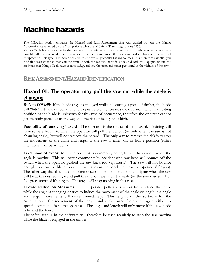### **Machine hazards**

The following section contains the Hazard and Risk Assessment that was carried out on the Mango Automation as required by the Occupational Health and Safety (Plant) Regulations 1995.

Mango Tech has taken care in the design and manufacture of this equipment to reduce or eliminate were possible all the potential hazard sources in order to minimise the operating risks. However, as with all equipment of this type, it is never possible to remove all potential hazard sources. It is therefore essential you read this assessment so that you are familiar with the residual hazards associated with this equipment and the methods that Mango Tech have used to safeguard you the user, and other personnel in the vicinity of the saw.

### **RISK ASSESSMENT/HAZARD IDENTIFICATION**

### <u>Hazard 01: The operator may pull the saw out while the angle is</u> changing

**Risk to OH&S?**: If the blade angle is changed while it is cutting a piece of timber, the blade will "bite" into the timber and tend to push violently towards the operator. The final resting position of the blade is unknown for this type of occurrence, therefore the operator cannot get his body parts out of the way and the risk of being cut is high.

**Possibility of removing hazard**: The operator is the source of this hazard. Training will have some effect as to when the operator will pull the saw out (ie. only when the saw is not changing angle), but will not remove the hazard. The only way to remove the risk is to stop the movement of the angle and length if the saw is taken off its home position (either intentionally or by accident)

**Likelihood of exposure**: The operator is commonly going to pull the saw out when the angle is moving. This will occur commonly by accident (the saw head will bounce off the switch when the operator pushed the saw back too vigorously). The saw will not bounce enough to allow the blade to extend over the cutting bench (ie. near the operators' fingers). The other way that this situation often occurs is for the operator to anticipate when the saw will be at the desired angle and pull the saw out just a bit too early (ie. the saw may still 1 or 2 degrees short of it's target). The angle will stop moving in this case.

Hazard Reduction Measures : If the operator pulls the saw out from behind the fence while the angle is changing or tries to induce the movement of the angle or length, the angle and length movements will cease immediately. This is part of the software for the Automation. The movement of the length and angle cannot be started again without a specific command from the operator. The angle and length will only move if the saw blade is behind the fence.

The safety feature in the software will therefore be used regularly to stop the saw moving while the blade is engaged in the timber.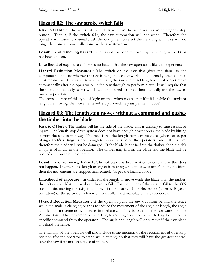### Hazard 02: The saw stroke switch fails

**Risk to OH&S?:** The saw stroke switch is wired in the same way as an emergency stop button. That is, if the switch fails, the saw automation will not work. Therefore the operator will have to manually ask the computer to select the next angle, as this will no longer be done automatically done by the saw stroke switch.

**Possibility of removing hazard**: The hazard has been removed by the wiring method that has been chosen.

**Likelihood of exposure**: There is no hazard that the saw operator is likely to experience.

**Hazard Reduction Measures**: The switch on the saw that gives the signal to the computer to indicate whether the saw is being pulled out works on a normally open contact. That means that if the saw stroke switch fails, the saw angle and length will not longer move automatically after the operator pulls the saw through to perform a cut. It will require that the operator manually select which cut to proceed to next, then manually ask the saw to move to position.

The consequence of this type of logic on the switch means that if it fails while the angle or length are moving, the movements will stop immediately (as per item above)

### Hazard 03: The length stop moves without a command and pushes the timber into the blade

Risk to OH&S?: The timber will hit the side of the blade. This is unlikely to cause a risk of injury. The length stop drive system does not have enough power break the blade by hitting it from the side in this way. The max force the length stop can produce (when set as per Mango Tech's settings) is not enough to break the skin on the operators hand if it hits him, therefore the blade will not be damaged. If the blade is not far into the timber, then the risk is higher of injury to the operator. The timber may jam on the blade and the blade will be pushed out towards the operator.

**Possibility of removing hazard**: The software has been written to ensure that this does not happen. If either axis (length or angle) is moving while the saw is off it's home position, then the movements are stopped immediately (as per the hazard above)

**Likelihood of exposure**: In order for the length to move while the blade is in the timber, the software and/or the hardware have to fail. For the either of the axis to fail to the ON position (i.e. moving the axis) is unknown in the history of the electronics (approx. 10 years operation) or the software (reference : Controller card manufacturers experience).

Hazard Reduction Measures : If the operator pulls the saw out from behind the fence while the angle is changing or tries to induce the movement of the angle or length, the angle and length movements will cease immediately. This is part of the software for the Automation. The movement of the length and angle cannot be started again without a specific command from the operator. The angle and length will only move if the saw blade is behind the fence.

The training of the operator will also include some mention of the recommended operating position (for the operator to stand while cutting) so that they will have the greatest control over the saw if it jams on a piece of timber.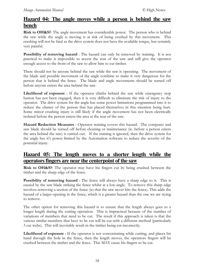### Hazard 04: The angle moves while a person is behind the saw **bench**

Risk to OH&S?: The angle movement has considerable power. The person who is behind the saw while the angle is moving is at risk of being crushed by this movement. This crushing will not be fatal as the drive system does not have the available torque, but certainly very painful.

Possibility of removing hazard : The hazard can only be removed by training. It is not practical to make it impossible to access the rear of the saw and still give the operator enough access to the front of the saw to allow him to cut timber.

There should not be anyone behind the saw while the saw is operating. The movement of the blade and possible movement of the angle combine to make it very dangerous for the person that is behind the fence. The blade and angle movements should be turned off before anyone enters the area behind the saw.

Likelihood of exposure : If the operator climbs behind the saw while emergency stop button has not been engaged, then it is very difficult to eliminate the risk of injury to the operator. The drive system for the angle has some power limitations programmed into it to reduce the chance of the person that has placed themselves in this situation being hurt. Some minor crushing injury is still likely if the angle movement has not been electrically isolated before the person enters the area at the rear of the saw.

Hazard Reduction Measures : Operator training covers this hazard. The computer and saw blade should be turned off before cleaning or maintenance (ie. before a person enters the area behind the saw) is carried out. If the training is ignored, then the drive system for the angle has it's power limited by the Automation software to reduce the severity of the potential injury.

### Hazard 05: The length moves to a shorter length while the operators fingers are near the centerpoint of the saw

Risk to OH&S?: The operator may have his fingers cut by being crushed between the timber and the sharp edge of the fence.

**Possibility of removing hazard**: The fence will always have a sharp edge to it. This is caused by the saw blade striking the fence whilst at a low angle. To remove this sharp edge involves removing a section of the fence (so that the saw never hits the fence). This adds the hazard of a larger opening in the fence, which is a greater hazard than the one we are trying to remove.

The other option for removing this hazard is to ensure that the length always goes to a longer length during the cutting operation. This is impractical because of the number of variations of members that need to be cut. The result if this approach is taken is that the various similar members that have to be cut will be cut with a different method (particularly 3 cut webs). This will inevitably result in the timber being cut incorrectly.

Likelihood of exposure : If the operator is not concentrating while cutting, and places his hand through the hole in the fence, then the length moves, the operators fingers will be crushed between the timber and the fence. This MAY cause his fingers to be cut.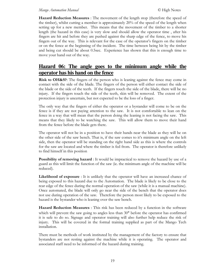#### Mango Automation Manual

**Hazard Reduction Measures**: The movement of the length stop (therefore the speed of the timber), whilst cutting a member is approximately  $20\%$  of the speed of the length when setting up for a new member. This means that the movement of the timber to a shorter length (the hazard in this case) is very slow and should allow the operator time, after his fingers are hit and before they are pushed against the sharp edge of the fence, to move his fingers out of the way. This is relevant for the case of the operator's fingers on the timber or on the fence at the beginning of the incident. The time between being hit by the timber and being cut should be about 0.5sec. Experience has shown that this is enough time to move your hand out of the way.

### Hazard 06: The angle goes to the minimum angle while the operator has his hand on the fence

**Risk to OH&S?**: The fingers of the person who is leaning against the fence may come in contact with the side of the blade. The fingers of the person will either contact the side of the blade or the side of the teeth. If the fingers touch the side of the blade, there will be no injury. If the fingers touch the side of the teeth, skin will be removed. The extent of the protection injury is uncertain, but not expected to be the loss of a finger.

The only way that the fingers of either the operator or a bystander will come to be on the fence is if they are not paying attention to the saw. It is not comfortable to lean on the fence in a way that will mean that the person doing the leaning is not facing the saw. This means that they likely to be watching the saw. This will allow them to move their hand from the fence before the blade gets there.

The operator will not be in a position to have their hands near the blade as they will be on the other side of the saw bench. That is, if the saw comes to it's minimum angle on the left side, then the operator will be standing on the right hand side as this is where the controls for the saw are located and where the timber is fed from. The operator is therefore unlikely to find himself in this position

**Possibility of removing hazard**: It would be impractical to remove the hazard by use of a guard as this will limit the function of the saw (ie. the minimum angle of the machine will be reduced).

Likelihood of exposure : It is unlikely that the operator will have an increased chance of being exposed to this hazard due to the Automation. The blade is likely to be close to the rear edge of the fence during the normal operation of the saw (while it is a manual machine). Once automated, the blade will only go near the side of the bench that the operator does not use during operation of the saw. Therefore the person most likely to be exposed to the hazard is the bystander who is leaning over the saw bench.

**Hazard Reduction Measures**: This risk has been reduced by a function in the software which will prevent the saw going to angles less than 30° before the operator has confirmed it is safe to do so. Signage and operator training will also further help reduce the risk of injury. This will be covered in the formal training supplied as part of the Mango Tech installation.

There must be methods of work instituted by the management of the factory to ensure that by standers are not resting against the machine while it is operating. The operator and associated staff need to be informed of the hazard during training.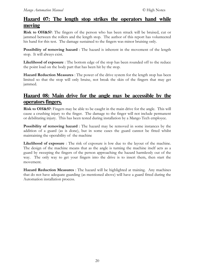### Hazard 07: The length stop strikes the operators hand while moving

**Risk to OH&S?:** The fingers of the person who has been struck will be bruised, cut or jammed between the rollers and the length stop. The author of this report has volunteered his hand for this test. The damage sustained to the fingers was minor bruising only.

**Possibility of removing hazard**: The hazard is inherent in the movement of the length stop. It will always exist.

Likelihood of exposure : The bottom edge of the stop has been rounded off to the reduce the point load on the body part that has been hit by the stop.

Hazard Reduction Measures : The power of the drive system for the length stop has been limited so that the stop will only bruise, not break the skin of the fingers that may get jammed.

### Hazard 08: Main drive for the angle may be accessible by the operators fingers.

Risk to OH&S?: Fingers may be able to be caught in the main drive for the angle. This will cause a crushing injury to the finger. The damage to the finger will not include permanent or debilitating injury. This has been tested during installation by a Mango Tech employee.

Possibility of removing hazard : The hazard may be removed in some instances by the addition of a guard (as is done), but in some cases the guard cannot be fitted whilst maintaining the operability of the machine

**Likelihood of exposure**: The risk of exposure is low due to the layout of the machine. The design of the machine means that as the angle is turning the machine itself acts as a guard by sweeping the fingers of the person approaching the hazard harmlessly out of the way. The only way to get your fingers into the drive is to insert them, then start the movement.

**Hazard Reduction Measures**: The hazard will be highlighted at training. Any machines that do not have adequate guarding (as mentioned above) will have a guard fitted during the Automation installation process.